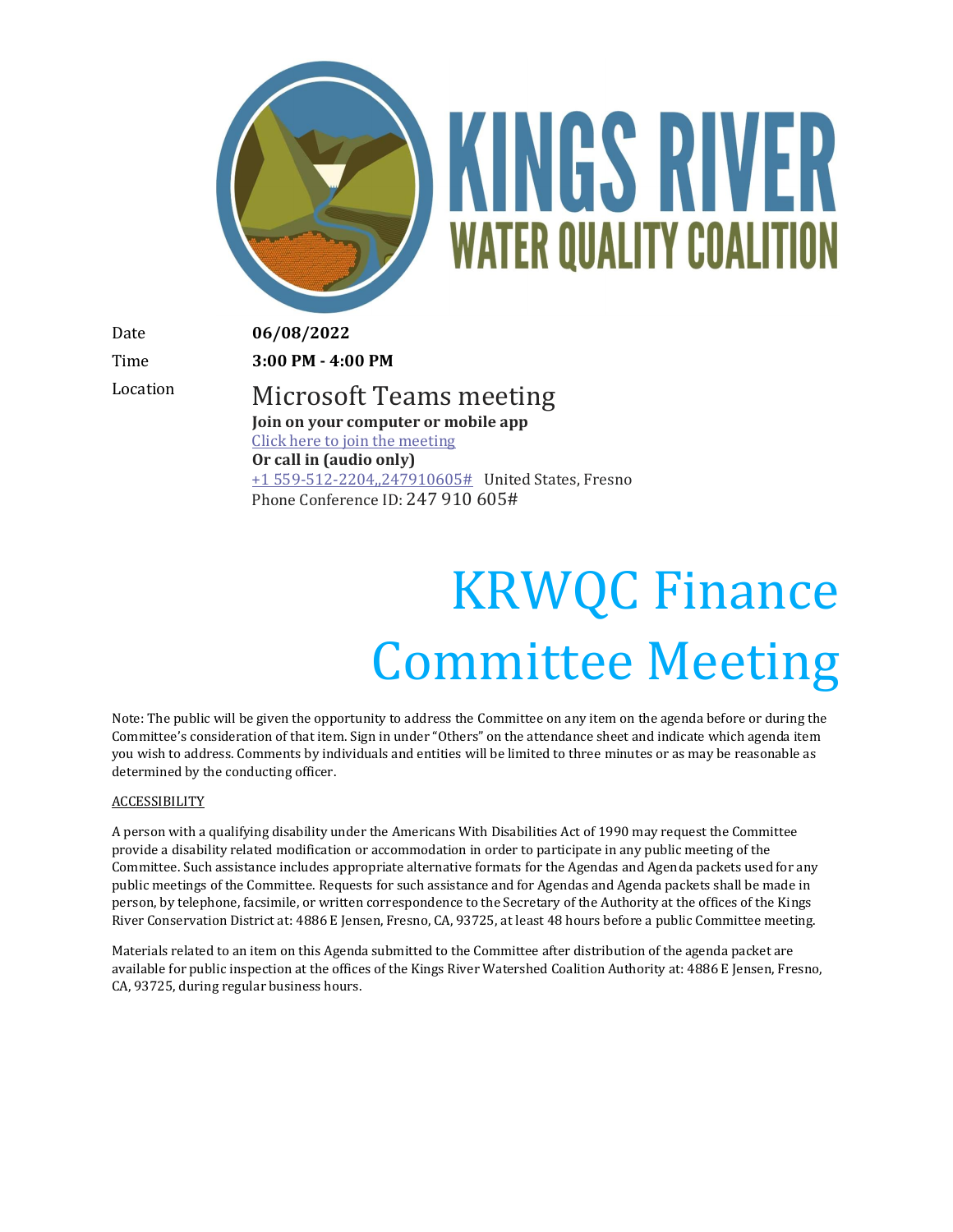

# KINGS RIVER **WATER QUALITY COALITION**

Date **06/08/2022**

Time **3:00 PM - 4:00 PM**

Location Microsoft Teams meeting **Join on your computer or mobile app** [Click here to join the meeting](https://teams.microsoft.com/l/meetup-join/19%3ameeting_NDY5YTdhNTQtZjVhOS00OTJiLTlhNzYtMzU1OTY3NmNmMTky%40thread.v2/0?context=%7b%22Tid%22%3a%225e8da365-04e7-405e-b4b5-7eec6c65b1f4%22%2c%22Oid%22%3a%220fb939cb-3b3f-4f6b-af4d-602f4442f9b4%22%7d) **Or call in (audio only)** [+1 559-512-2204,,247910605#](tel:+15595122204,,247910605# ) United States, Fresno Phone Conference ID: 247 910 605#

## KRWQC Finance Committee Meeting

Note: The public will be given the opportunity to address the Committee on any item on the agenda before or during the Committee's consideration of that item. Sign in under "Others" on the attendance sheet and indicate which agenda item you wish to address. Comments by individuals and entities will be limited to three minutes or as may be reasonable as determined by the conducting officer.

#### **ACCESSIBILITY**

A person with a qualifying disability under the Americans With Disabilities Act of 1990 may request the Committee provide a disability related modification or accommodation in order to participate in any public meeting of the Committee. Such assistance includes appropriate alternative formats for the Agendas and Agenda packets used for any public meetings of the Committee. Requests for such assistance and for Agendas and Agenda packets shall be made in person, by telephone, facsimile, or written correspondence to the Secretary of the Authority at the offices of the Kings River Conservation District at: 4886 E Jensen, Fresno, CA, 93725, at least 48 hours before a public Committee meeting.

Materials related to an item on this Agenda submitted to the Committee after distribution of the agenda packet are available for public inspection at the offices of the Kings River Watershed Coalition Authority at: 4886 E Jensen, Fresno, CA, 93725, during regular business hours.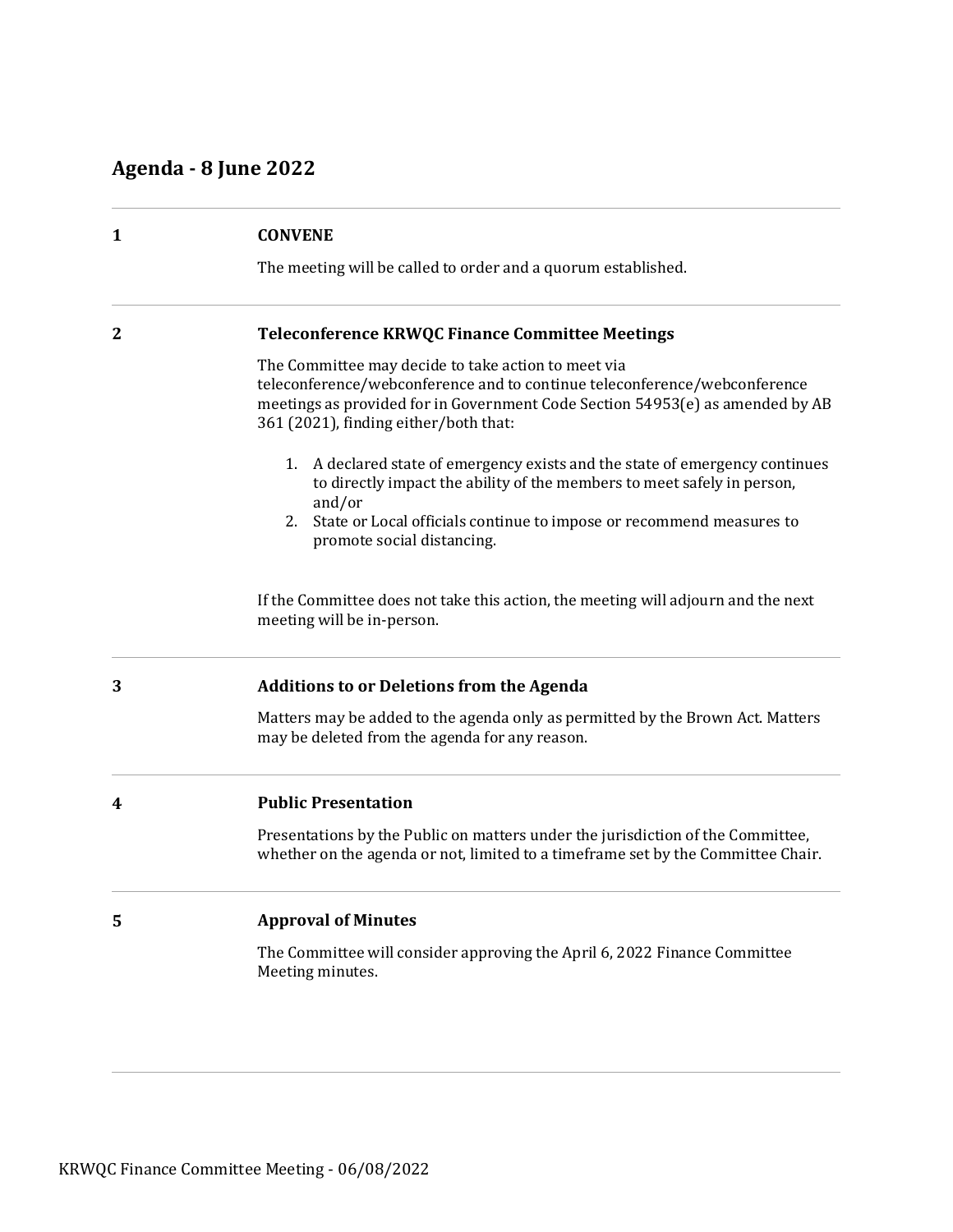### **Agenda - 8 June 2022**

| 1                | <b>CONVENE</b>                                                                                                                                                                                                                                             |
|------------------|------------------------------------------------------------------------------------------------------------------------------------------------------------------------------------------------------------------------------------------------------------|
|                  | The meeting will be called to order and a quorum established.                                                                                                                                                                                              |
| $\boldsymbol{2}$ | <b>Teleconference KRWQC Finance Committee Meetings</b>                                                                                                                                                                                                     |
|                  | The Committee may decide to take action to meet via<br>teleconference/webconference and to continue teleconference/webconference<br>meetings as provided for in Government Code Section 54953(e) as amended by AB<br>361 (2021), finding either/both that: |
|                  | 1. A declared state of emergency exists and the state of emergency continues<br>to directly impact the ability of the members to meet safely in person,<br>and/or                                                                                          |
|                  | 2. State or Local officials continue to impose or recommend measures to<br>promote social distancing.                                                                                                                                                      |
|                  | If the Committee does not take this action, the meeting will adjourn and the next<br>meeting will be in-person.                                                                                                                                            |
| 3                | <b>Additions to or Deletions from the Agenda</b>                                                                                                                                                                                                           |
|                  | Matters may be added to the agenda only as permitted by the Brown Act. Matters<br>may be deleted from the agenda for any reason.                                                                                                                           |
| 4                | <b>Public Presentation</b>                                                                                                                                                                                                                                 |
|                  | Presentations by the Public on matters under the jurisdiction of the Committee,<br>whether on the agenda or not, limited to a timeframe set by the Committee Chair.                                                                                        |
| 5                | <b>Approval of Minutes</b>                                                                                                                                                                                                                                 |
|                  | The Committee will consider approving the April 6, 2022 Finance Committee<br>Meeting minutes.                                                                                                                                                              |
|                  |                                                                                                                                                                                                                                                            |